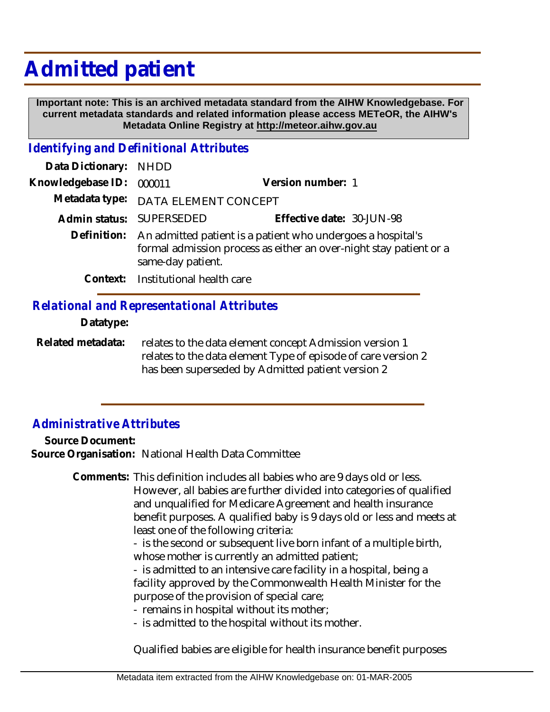## **Admitted patient**

 **Important note: This is an archived metadata standard from the AIHW Knowledgebase. For current metadata standards and related information please access METeOR, the AIHW's Metadata Online Registry at http://meteor.aihw.gov.au**

## *Identifying and Definitional Attributes*

| Data Dictionary: NHDD |                                                                                                                                                                    |                           |
|-----------------------|--------------------------------------------------------------------------------------------------------------------------------------------------------------------|---------------------------|
| Knowledgebase ID:     | 000011                                                                                                                                                             | Version number: 1         |
|                       | Metadata type: DATA ELEMENT CONCEPT                                                                                                                                |                           |
|                       | Admin status: SUPERSEDED                                                                                                                                           | Effective date: 30-JUN-98 |
|                       | Definition: An admitted patient is a patient who undergoes a hospital's<br>formal admission process as either an over-night stay patient or a<br>same-day patient. |                           |
|                       | Context: Institutional health care                                                                                                                                 |                           |

## *Relational and Representational Attributes*

**Datatype:**

relates to the data element concept Admission version 1 relates to the data element Type of episode of care version 2 has been superseded by Admitted patient version 2 **Related metadata:**

## *Administrative Attributes*

**Source Document: Source Organisation:** National Health Data Committee

> Comments: This definition includes all babies who are 9 days old or less. However, all babies are further divided into categories of qualified and unqualified for Medicare Agreement and health insurance benefit purposes. A qualified baby is 9 days old or less and meets at least one of the following criteria:

> > - is the second or subsequent live born infant of a multiple birth, whose mother is currently an admitted patient;

> > - is admitted to an intensive care facility in a hospital, being a facility approved by the Commonwealth Health Minister for the purpose of the provision of special care;

- remains in hospital without its mother;

- is admitted to the hospital without its mother.

Qualified babies are eligible for health insurance benefit purposes